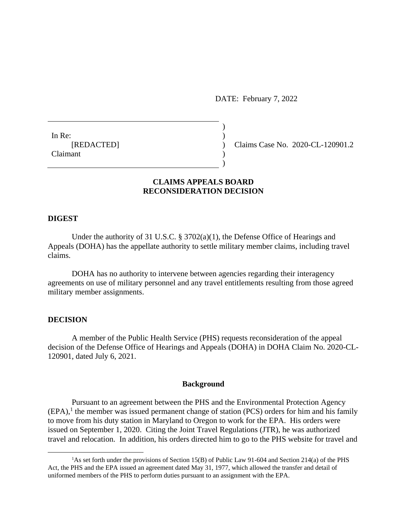DATE: February 7, 2022

In Re:  $\qquad \qquad$ ) Claimant )

[REDACTED] ) Claims Case No. 2020-CL-120901.2

## **CLAIMS APPEALS BOARD RECONSIDERATION DECISION**

)

 $\overline{)}$ 

#### **DIGEST**

Under the authority of 31 U.S.C. § 3702(a)(1), the Defense Office of Hearings and Appeals (DOHA) has the appellate authority to settle military member claims, including travel claims.

DOHA has no authority to intervene between agencies regarding their interagency agreements on use of military personnel and any travel entitlements resulting from those agreed military member assignments.

### **DECISION**

 $\overline{a}$ 

A member of the Public Health Service (PHS) requests reconsideration of the appeal decision of the Defense Office of Hearings and Appeals (DOHA) in DOHA Claim No. 2020-CL-120901, dated July 6, 2021.

#### **Background**

Pursuant to an agreement between the PHS and the Environmental Protection Agency  $(EPA)$ , the member was issued permanent change of station (PCS) orders for him and his family to move from his duty station in Maryland to Oregon to work for the EPA. His orders were issued on September 1, 2020. Citing the Joint Travel Regulations (JTR), he was authorized travel and relocation. In addition, his orders directed him to go to the PHS website for travel and

<sup>&</sup>lt;sup>1</sup>As set forth under the provisions of Section 15(B) of Public Law 91-604 and Section 214(a) of the PHS Act, the PHS and the EPA issued an agreement dated May 31, 1977, which allowed the transfer and detail of uniformed members of the PHS to perform duties pursuant to an assignment with the EPA.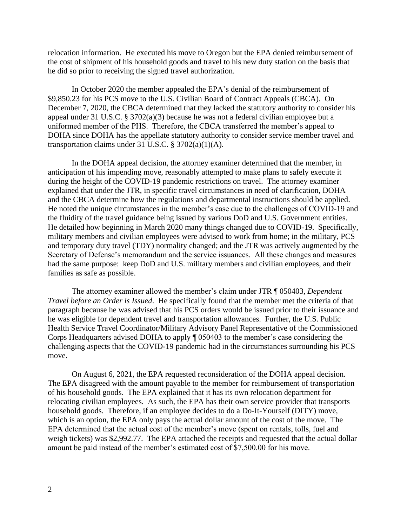relocation information. He executed his move to Oregon but the EPA denied reimbursement of the cost of shipment of his household goods and travel to his new duty station on the basis that he did so prior to receiving the signed travel authorization.

In October 2020 the member appealed the EPA's denial of the reimbursement of \$9,850.23 for his PCS move to the U.S. Civilian Board of Contract Appeals (CBCA). On December 7, 2020, the CBCA determined that they lacked the statutory authority to consider his appeal under 31 U.S.C. § 3702(a)(3) because he was not a federal civilian employee but a uniformed member of the PHS. Therefore, the CBCA transferred the member's appeal to DOHA since DOHA has the appellate statutory authority to consider service member travel and transportation claims under 31 U.S.C.  $\S 3702(a)(1)(A)$ .

In the DOHA appeal decision, the attorney examiner determined that the member, in anticipation of his impending move, reasonably attempted to make plans to safely execute it during the height of the COVID-19 pandemic restrictions on travel. The attorney examiner explained that under the JTR, in specific travel circumstances in need of clarification, DOHA and the CBCA determine how the regulations and departmental instructions should be applied. He noted the unique circumstances in the member's case due to the challenges of COVID-19 and the fluidity of the travel guidance being issued by various DoD and U.S. Government entities. He detailed how beginning in March 2020 many things changed due to COVID-19. Specifically, military members and civilian employees were advised to work from home; in the military, PCS and temporary duty travel (TDY) normality changed; and the JTR was actively augmented by the Secretary of Defense's memorandum and the service issuances. All these changes and measures had the same purpose: keep DoD and U.S. military members and civilian employees, and their families as safe as possible.

The attorney examiner allowed the member's claim under JTR ¶ 050403, *Dependent Travel before an Order is Issued*. He specifically found that the member met the criteria of that paragraph because he was advised that his PCS orders would be issued prior to their issuance and he was eligible for dependent travel and transportation allowances. Further, the U.S. Public Health Service Travel Coordinator/Military Advisory Panel Representative of the Commissioned Corps Headquarters advised DOHA to apply ¶ 050403 to the member's case considering the challenging aspects that the COVID-19 pandemic had in the circumstances surrounding his PCS move.

On August 6, 2021, the EPA requested reconsideration of the DOHA appeal decision. The EPA disagreed with the amount payable to the member for reimbursement of transportation of his household goods. The EPA explained that it has its own relocation department for relocating civilian employees. As such, the EPA has their own service provider that transports household goods. Therefore, if an employee decides to do a Do-It-Yourself (DITY) move, which is an option, the EPA only pays the actual dollar amount of the cost of the move. The EPA determined that the actual cost of the member's move (spent on rentals, tolls, fuel and weigh tickets) was \$2,992.77. The EPA attached the receipts and requested that the actual dollar amount be paid instead of the member's estimated cost of \$7,500.00 for his move.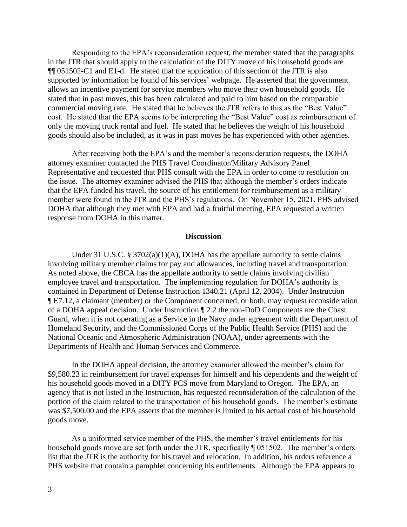Responding to the EPA's reconsideration request, the member stated that the paragraphs in the JTR that should apply to the calculation of the DITY move of his household goods are ¶¶ 051502-C1 and E1-d. He stated that the application of this section of the JTR is also supported by information he found of his services' webpage. He asserted that the government allows an incentive payment for service members who move their own household goods. He stated that in past moves, this has been calculated and paid to him based on the comparable commercial moving rate. He stated that he believes the JTR refers to this as the "Best Value" cost. He stated that the EPA seems to be interpreting the "Best Value" cost as reimbursement of only the moving truck rental and fuel. He stated that he believes the weight of his household goods should also be included, as it was in past moves he has experienced with other agencies.

After receiving both the EPA's and the member's reconsideration requests, the DOHA attorney examiner contacted the PHS Travel Coordinator/Military Advisory Panel Representative and requested that PHS consult with the EPA in order to come to resolution on the issue. The attorney examiner advised the PHS that although the member's orders indicate that the EPA funded his travel, the source of his entitlement for reimbursement as a military member were found in the JTR and the PHS's regulations. On November 15, 2021, PHS advised DOHA that although they met with EPA and had a fruitful meeting, EPA requested a written response from DOHA in this matter.

#### **Discussion**

Under 31 U.S.C. § 3702(a)(1)(A), DOHA has the appellate authority to settle claims involving military member claims for pay and allowances, including travel and transportation. As noted above, the CBCA has the appellate authority to settle claims involving civilian employee travel and transportation. The implementing regulation for DOHA's authority is contained in Department of Defense Instruction 1340.21 (April 12, 2004). Under Instruction ¶ E7.12, a claimant (member) or the Component concerned, or both, may request reconsideration of a DOHA appeal decision. Under Instruction ¶ 2.2 the non-DoD Components are the Coast Guard, when it is not operating as a Service in the Navy under agreement with the Department of Homeland Security, and the Commissioned Corps of the Public Health Service (PHS) and the National Oceanic and Atmospheric Administration (NOAA), under agreements with the Departments of Health and Human Services and Commerce.

In the DOHA appeal decision, the attorney examiner allowed the member's claim for \$9,580.23 in reimbursement for travel expenses for himself and his dependents and the weight of his household goods moved in a DITY PCS move from Maryland to Oregon. The EPA, an agency that is not listed in the Instruction, has requested reconsideration of the calculation of the portion of the claim related to the transportation of his household goods. The member's estimate was \$7,500.00 and the EPA asserts that the member is limited to his actual cost of his household goods move.

As a uniformed service member of the PHS, the member's travel entitlements for his household goods move are set forth under the JTR, specifically ¶ 051502. The member's orders list that the JTR is the authority for his travel and relocation. In addition, his orders reference a PHS website that contain a pamphlet concerning his entitlements. Although the EPA appears to